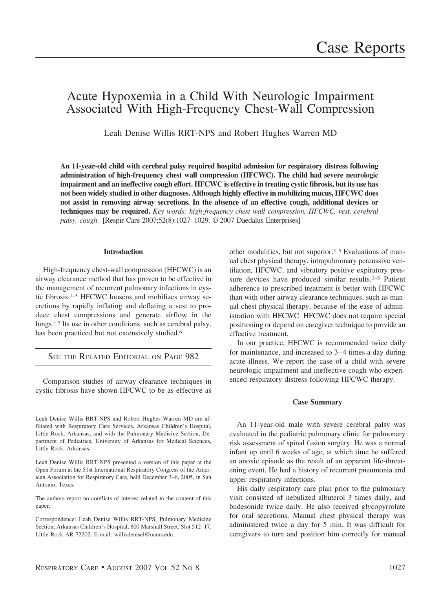# Acute Hypoxemia in a Child With Neurologic Impairment Associated With High-Frequency Chest-Wall Compression

Leah Denise Willis RRT-NPS and Robert Hughes Warren MD

**An 11-year-old child with cerebral palsy required hospital admission for respiratory distress following administration of high-frequency chest wall compression (HFCWC). The child had severe neurologic impairment and an ineffective cough effort. HFCWC is effective in treating cystic fibrosis, but its use has not been widely studied in other diagnoses. Although highly effective in mobilizing mucus, HFCWC does not assist in removing airway secretions. In the absence of an effective cough, additional devices or techniques may be required.** *Key words: high-frequency chest wall compression, HFCWC, vest, cerebral palsy, cough*. [Respir Care 2007;52(8):1027–1029. © 2007 Daedalus Enterprises]

### **Introduction**

High-frequency chest-wall compression (HFCWC) is an airway clearance method that has proven to be effective in the management of recurrent pulmonary infections in cystic fibrosis.1–5 HFCWC loosens and mobilizes airway secretions by rapidly inflating and deflating a vest to produce chest compressions and generate airflow in the lungs.1,2 Its use in other conditions, such as cerebral palsy, has been practiced but not extensively studied.<sup>6</sup>

SEE THE RELATED EDITORIAL ON PAGE 982

Comparison studies of airway clearance techniques in cystic fibrosis have shown HFCWC to be as effective as other modalities, but not superior.3–5 Evaluations of manual chest physical therapy, intrapulmonary percussive ventilation, HFCWC, and vibratory positive expiratory pressure devices have produced similar results.<sup>3-5</sup> Patient adherence to prescribed treatment is better with HFCWC than with other airway clearance techniques, such as manual chest physical therapy, because of the ease of administration with HFCWC. HFCWC does not require special positioning or depend on caregiver technique to provide an effective treatment.

In our practice, HFCWC is recommended twice daily for maintenance, and increased to 3– 4 times a day during acute illness. We report the case of a child with severe neurologic impairment and ineffective cough who experienced respiratory distress following HFCWC therapy.

## **Case Summary**

An 11-year-old male with severe cerebral palsy was evaluated in the pediatric pulmonary clinic for pulmonary risk assessment of spinal fusion surgery. He was a normal infant up until 6 weeks of age, at which time he suffered an anoxic episode as the result of an apparent life-threatening event. He had a history of recurrent pneumonia and upper respiratory infections.

His daily respiratory care plan prior to the pulmonary visit consisted of nebulized albuterol 3 times daily, and budesonide twice daily. He also received glycopyrrolate for oral secretions. Manual chest physical therapy was administered twice a day for 5 min. It was difficult for caregivers to turn and position him correctly for manual

Leah Denise Willis RRT-NPS and Robert Hughes Warren MD are affiliated with Respiratory Care Services, Arkansas Children's Hospital, Little Rock, Arkansas, and with the Pulmonary Medicine Section, Department of Pediatrics, University of Arkansas for Medical Sciences, Little Rock, Arkansas.

Leah Denise Willis RRT-NPS presented a version of this paper at the Open Forum at the 51st International Respiratory Congress of the American Association for Respiratory Care, held December 3–6, 2005, in San Antonio, Texas.

The authors report no conflicts of interest related to the content of this paper.

Correspondence: Leah Denise Willis RRT-NPS, Pulmonary Medicine Section, Arkansas Children's Hospital, 800 Marshall Street, Slot 512–17, Little Rock AR 72202. E-mail: willisdenisel@uams.edu.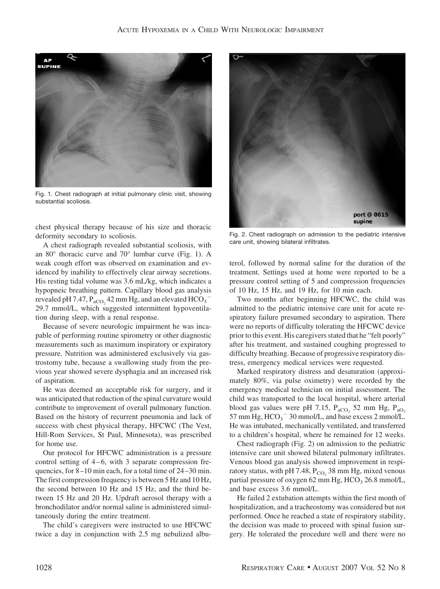

Fig. 1. Chest radiograph at initial pulmonary clinic visit, showing substantial scoliosis.

chest physical therapy because of his size and thoracic deformity secondary to scoliosis.

A chest radiograph revealed substantial scoliosis, with an 80° thoracic curve and 70° lumbar curve (Fig. 1). A weak cough effort was observed on examination and evidenced by inability to effectively clear airway secretions. His resting tidal volume was 3.6 mL/kg, which indicates a hypopneic breathing pattern. Capillary blood gas analysis revealed pH 7.47,  $P_{aCO_2}$  42 mm Hg, and an elevated HCO<sub>3</sub><sup>-</sup> 29.7 mmol/L, which suggested intermittent hypoventilation during sleep, with a renal response.

Because of severe neurologic impairment he was incapable of performing routine spirometry or other diagnostic measurements such as maximum inspiratory or expiratory pressure. Nutrition was administered exclusively via gastrostomy tube, because a swallowing study from the previous year showed severe dysphagia and an increased risk of aspiration.

He was deemed an acceptable risk for surgery, and it was anticipated that reduction of the spinal curvature would contribute to improvement of overall pulmonary function. Based on the history of recurrent pneumonia and lack of success with chest physical therapy, HFCWC (The Vest, Hill-Rom Services, St Paul, Minnesota), was prescribed for home use.

Our protocol for HFCWC administration is a pressure control setting of  $4-6$ , with 3 separate compression frequencies, for 8 –10 min each, for a total time of 24 –30 min. The first compression frequency is between 5 Hz and 10 Hz, the second between 10 Hz and 15 Hz, and the third between 15 Hz and 20 Hz. Updraft aerosol therapy with a bronchodilator and/or normal saline is administered simultaneously during the entire treatment.

The child's caregivers were instructed to use HFCWC twice a day in conjunction with 2.5 mg nebulized albu-



Fig. 2. Chest radiograph on admission to the pediatric intensive care unit, showing bilateral infiltrates.

terol, followed by normal saline for the duration of the treatment. Settings used at home were reported to be a pressure control setting of 5 and compression frequencies of 10 Hz, 15 Hz, and 19 Hz, for 10 min each.

Two months after beginning HFCWC, the child was admitted to the pediatric intensive care unit for acute respiratory failure presumed secondary to aspiration. There were no reports of difficulty tolerating the HFCWC device prior to this event. His caregivers stated that he "felt poorly" after his treatment, and sustained coughing progressed to difficulty breathing. Because of progressive respiratory distress, emergency medical services were requested.

Marked respiratory distress and desaturation (approximately 80%, via pulse oximetry) were recorded by the emergency medical technician on initial assessment. The child was transported to the local hospital, where arterial blood gas values were pH 7.15,  $P_{aCO_2}$  52 mm Hg,  $P_{aO_2}$ 57 mm Hg,  $HCO_3$ <sup>-</sup> 30 mmol/L, and base excess 2 mmol/L. He was intubated, mechanically ventilated, and transferred to a children's hospital, where he remained for 12 weeks.

Chest radiograph (Fig. 2) on admission to the pediatric intensive care unit showed bilateral pulmonary infiltrates. Venous blood gas analysis showed improvement in respiratory status, with pH 7.48,  $P_{CO_2}$  38 mm Hg, mixed venous partial pressure of oxygen 62 mm Hg,  $HCO<sub>3</sub> 26.8$  mmol/L, and base excess 3.6 mmol/L.

He failed 2 extubation attempts within the first month of hospitalization, and a tracheostomy was considered but not performed. Once he reached a state of respiratory stability, the decision was made to proceed with spinal fusion surgery. He tolerated the procedure well and there were no